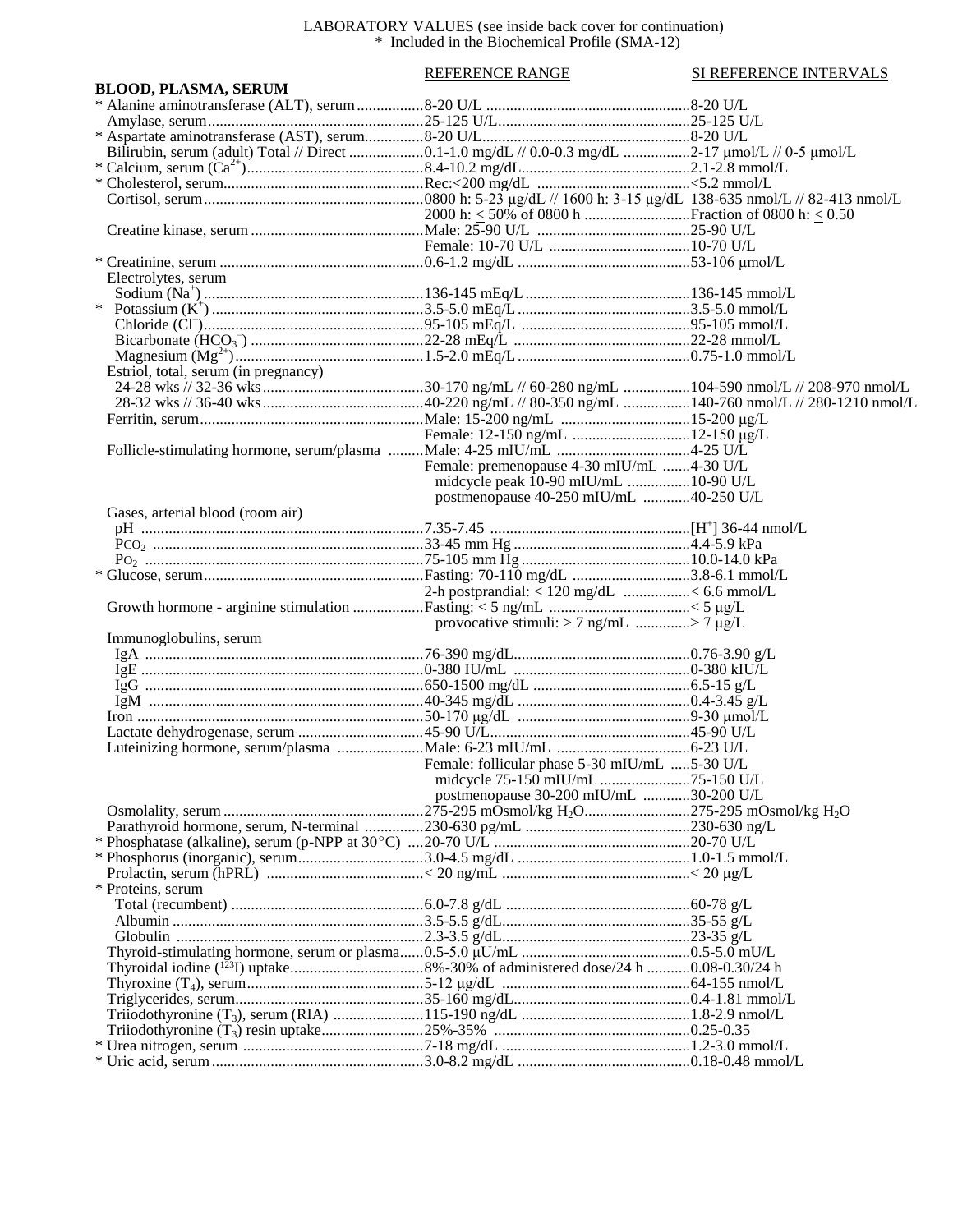## LABORATORY VALUES (see inside back cover for continuation) \* Included in the Biochemical Profile (SMA-12)

|                                      | <b>REFERENCE RANGE</b>                          | SI REFERENCE INTERVALS |
|--------------------------------------|-------------------------------------------------|------------------------|
| <b>BLOOD, PLASMA, SERUM</b>          |                                                 |                        |
|                                      |                                                 |                        |
|                                      |                                                 |                        |
|                                      |                                                 |                        |
|                                      |                                                 |                        |
|                                      |                                                 |                        |
|                                      |                                                 |                        |
|                                      |                                                 |                        |
|                                      |                                                 |                        |
|                                      |                                                 |                        |
|                                      |                                                 |                        |
|                                      |                                                 |                        |
| Electrolytes, serum                  |                                                 |                        |
|                                      |                                                 |                        |
|                                      |                                                 |                        |
|                                      |                                                 |                        |
|                                      |                                                 |                        |
|                                      |                                                 |                        |
|                                      |                                                 |                        |
| Estriol, total, serum (in pregnancy) |                                                 |                        |
|                                      |                                                 |                        |
|                                      |                                                 |                        |
|                                      |                                                 |                        |
|                                      |                                                 |                        |
|                                      |                                                 |                        |
|                                      | Female: premenopause 4-30 mIU/mL 4-30 U/L       |                        |
|                                      | midcycle peak 10-90 mIU/mL 10-90 U/L            |                        |
|                                      | postmenopause 40-250 mIU/mL 40-250 U/L          |                        |
| Gases, arterial blood (room air)     |                                                 |                        |
|                                      |                                                 |                        |
|                                      |                                                 |                        |
|                                      |                                                 |                        |
|                                      |                                                 |                        |
|                                      | 2-h postprandial: $\leq 120$ mg/dL < 6.6 mmol/L |                        |
|                                      |                                                 |                        |
|                                      | provocative stimuli: $> 7$ ng/mL $> 7 \mu g/L$  |                        |
| Immunoglobulins, serum               |                                                 |                        |
|                                      |                                                 |                        |
|                                      |                                                 |                        |
|                                      |                                                 |                        |
|                                      |                                                 |                        |
|                                      |                                                 |                        |
|                                      |                                                 |                        |
|                                      |                                                 |                        |
|                                      | Female: follicular phase 5-30 mIU/mL 5-30 U/L   |                        |
|                                      |                                                 |                        |
|                                      | postmenopause 30-200 mIU/mL 30-200 U/L          |                        |
|                                      |                                                 |                        |
|                                      |                                                 |                        |
|                                      |                                                 |                        |
|                                      |                                                 |                        |
|                                      |                                                 |                        |
| * Proteins, serum                    |                                                 |                        |
|                                      |                                                 |                        |
|                                      |                                                 |                        |
|                                      |                                                 |                        |
|                                      |                                                 |                        |
|                                      |                                                 |                        |
|                                      |                                                 |                        |
|                                      |                                                 |                        |
|                                      |                                                 |                        |
|                                      |                                                 |                        |
|                                      |                                                 |                        |
|                                      |                                                 |                        |
|                                      |                                                 |                        |